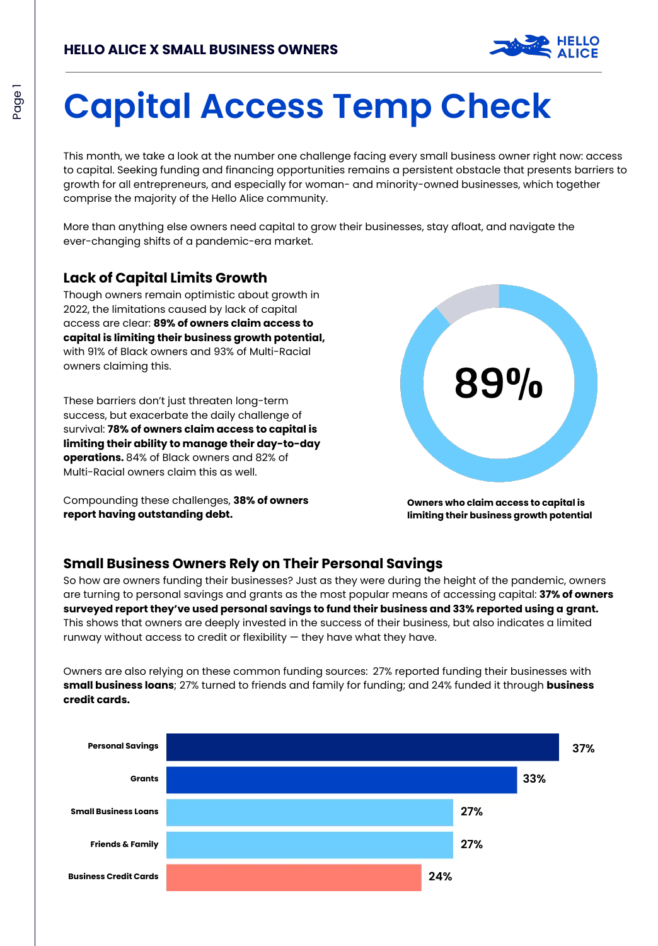

# **Capital Access Temp Check**

This month, we take a look at the number one challenge facing every small business owner right now: access to capital. Seeking funding and financing opportunities remains a persistent obstacle that presents barriers to growth for all entrepreneurs, and especially for woman- and minority-owned businesses, which together comprise the majority of the Hello Alice community.

More than anything else owners need capital to grow their businesses, stay afloat, and navigate the ever-changing shifts of a pandemic-era market.

#### **Lack of Capital Limits Growth**

Though owners remain optimistic about growth in 2022, the limitations caused by lack of capital access are clear: **89% of owners claim access to capital is limiting their business growth potential,**  with 91% of Black owners and 93% of Multi-Racial owners claiming this.

These barriers don't just threaten long-term success, but exacerbate the daily challenge of survival: **78% of owners claim access to capital is limiting their ability to manage their day-to-day operations.** 84% of Black owners and 82% of Multi-Racial owners claim this as well.

Compounding these challenges, **38% of owners report having outstanding debt.**



**Owners who claim access to capital is limiting their business growth potential**

#### **Small Business Owners Rely on Their Personal Savings**

So how are owners funding their businesses? Just as they were during the height of the pandemic, owners are turning to personal savings and grants as the most popular means of accessing capital: **37% of owners surveyed report they've used personal savings to fund their business and 33% reported using a grant.**  This shows that owners are deeply invested in the success of their business, but also indicates a limited runway without access to credit or flexibility  $-$  they have what they have.

Owners are also relying on these common funding sources: 27% reported funding their businesses with **small business loans**; 27% turned to friends and family for funding; and 24% funded it through **business credit cards.** 

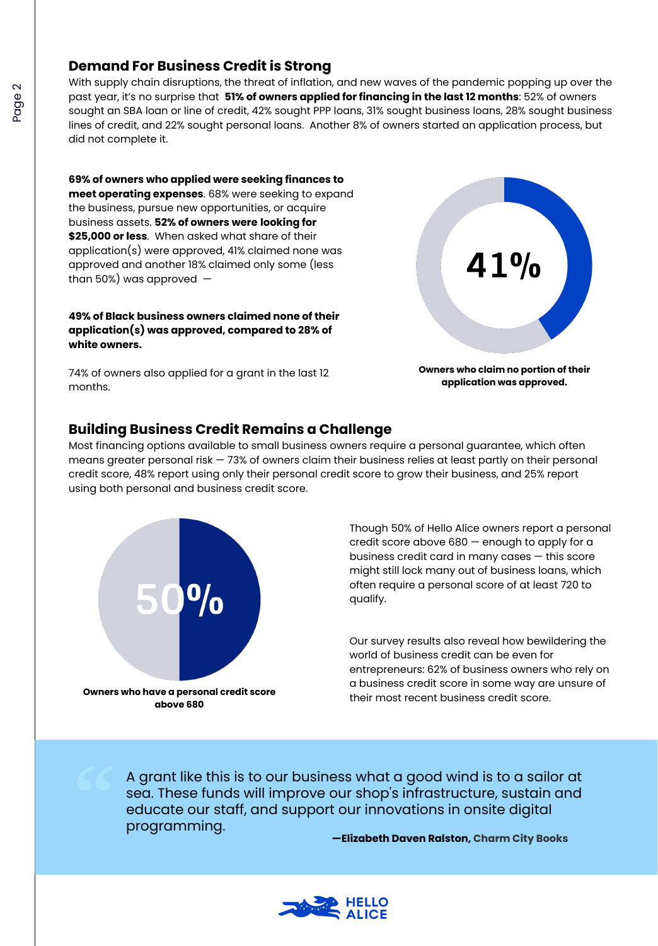#### **Demand For Business Credit is Strong**

With supply chain disruptions, the threat of inflation, and new waves of the pandemic popping up over the past year, it's no surprise that **51% of owners applied for financing in the last 12 months**: 52% of owners sought an SBA loan or line of credit, 42% sought PPP loans, 31% sought business loans, 28% sought business lines of credit, and 22% sought personal loans. Another 8% of owners started an application process, but did not complete it.

**69% of owners who applied were seeking finances to meet operating expenses**. 68% were seeking to expand the business, pursue new opportunities, or acquire business assets. **52% of owners were looking for \$25,000 or less**. When asked what share of their application(s) were approved, 41% claimed none was approved and another 18% claimed only some (less than 50%) was approved  $-$ 

**49% of Black business owners claimed none of their application(s) was approved, compared to 28% of white owners.**

74% of owners also applied for a grant in the last 12 months.



**Owners who claim no portion of their application was approved.**

### **Building Business Credit Remains a Challenge**

Most financing options available to small business owners require a personal guarantee, which often means greater personal risk — 73% of owners claim their business relies at least partly on their personal credit score, 48% report using only their personal credit score to grow their business, and 25% report using both personal and business credit score.



Though 50% of Hello Alice owners report a personal credit score above 680 — enough to apply for a business credit card in many cases — this score might still lock many out of business loans, which often require a personal score of at least 720 to qualify.

Our survey results also reveal how bewildering the world of business credit can be even for entrepreneurs: 62% of business owners who rely on a business credit score in some way are unsure of their most recent business credit score.

A grant like this is to our business what a good wind is to a sailor at sea. These funds will improve our shop's infrastructure, sustain and educate our staff, and support our innovations in onsite digital programming.

**—Elizabeth Daven Ralston, Charm City Books**